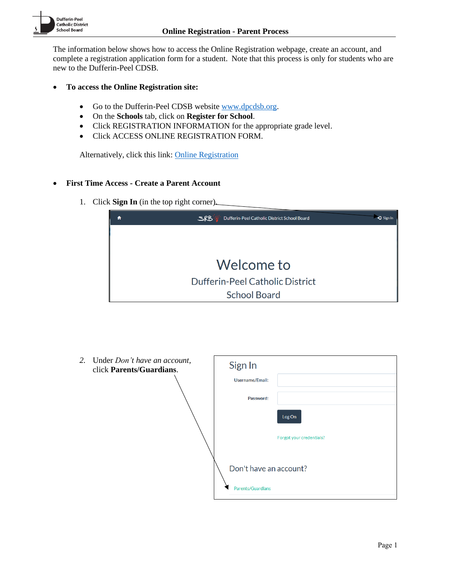The information below shows how to access the Online Registration webpage, create an account, and complete a registration application form for a student. Note that this process is only for students who are new to the Dufferin-Peel CDSB.

- **To access the Online Registration site:**
	- Go to the Dufferin-Peel CDSB websit[e www.dpcdsb.org.](http://www.dpcdsb.org/)
	- On the **Schools** tab, click on **Register for School**.
	- Click REGISTRATION INFORMATION for the appropriate grade level.
	- Click ACCESS ONLINE REGISTRATION FORM.

Alternatively, click this link: [Online Registration](https://olr.dpcdsb.org/)

# • **First Time Access - Create a Parent Account**

1. Click **Sign In** (in the top right corner).



| 2. Under Don't have an account,<br>click Parents/Guardians. | Sign In                                     |                          |
|-------------------------------------------------------------|---------------------------------------------|--------------------------|
|                                                             | <b>Username/Email:</b>                      |                          |
|                                                             | Password:                                   |                          |
|                                                             |                                             | Log On                   |
|                                                             |                                             | Forgot your credentials? |
|                                                             | Don't have an account?<br>Parents/Guardians |                          |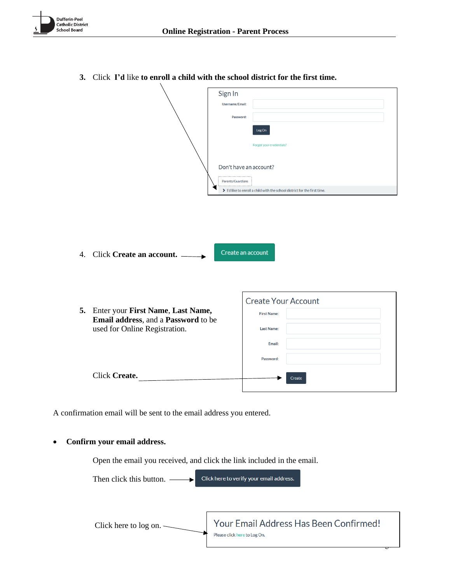|                  |                                      | Sign In                |                          |                                                                         |  |
|------------------|--------------------------------------|------------------------|--------------------------|-------------------------------------------------------------------------|--|
|                  |                                      | Username/Email:        |                          |                                                                         |  |
|                  |                                      | Password:              |                          |                                                                         |  |
|                  |                                      |                        | Log On                   |                                                                         |  |
|                  |                                      |                        |                          |                                                                         |  |
|                  |                                      |                        | Forgot your credentials? |                                                                         |  |
|                  |                                      |                        |                          |                                                                         |  |
|                  |                                      | Don't have an account? |                          |                                                                         |  |
|                  |                                      | Parents/Guardians      |                          |                                                                         |  |
|                  |                                      |                        |                          | I'd like to enroll a child with the school district for the first time. |  |
|                  |                                      |                        |                          |                                                                         |  |
|                  |                                      |                        |                          |                                                                         |  |
|                  |                                      |                        |                          |                                                                         |  |
|                  |                                      |                        |                          |                                                                         |  |
|                  |                                      |                        |                          |                                                                         |  |
| $\overline{4}$ . | Click Create an account.             | Create an account      |                          |                                                                         |  |
|                  |                                      |                        |                          |                                                                         |  |
|                  |                                      |                        |                          |                                                                         |  |
|                  |                                      |                        |                          |                                                                         |  |
|                  |                                      |                        |                          | <b>Create Your Account</b>                                              |  |
|                  | 5. Enter your First Name, Last Name, |                        |                          |                                                                         |  |
|                  | Email address, and a Password to be  |                        | <b>First Name:</b>       |                                                                         |  |
|                  | used for Online Registration.        |                        | <b>Last Name:</b>        |                                                                         |  |
|                  |                                      |                        | Email:                   |                                                                         |  |
|                  |                                      |                        |                          |                                                                         |  |
|                  |                                      |                        | Password:                |                                                                         |  |
|                  |                                      |                        |                          |                                                                         |  |
|                  | Click Create.                        |                        |                          | Create                                                                  |  |
|                  |                                      |                        |                          |                                                                         |  |

**3.** Click **I'd** like **to enroll a child with the school district for the first time.**

A confirmation email will be sent to the email address you entered.

# • **Confirm your email address.**

Open the email you received, and click the link included in the email.

Click here to verify your email address. Then click this button. -

Your Email Address Has Been Confirmed! Click here to log on.Please click here to Log On.

 $\overline{P}$ 

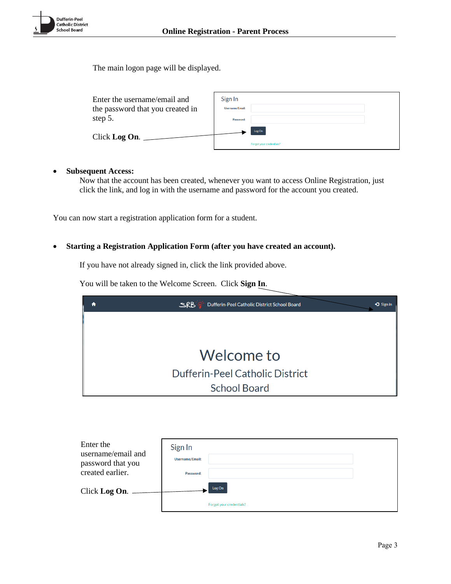

The main logon page will be displayed.

| Enter the username/email and<br>the password that you created in<br>step 5. | Sign In<br>Username/Email:<br>Password: |                                    |  |
|-----------------------------------------------------------------------------|-----------------------------------------|------------------------------------|--|
| Click Log On.                                                               |                                         | Log On<br>Forgot your credentials? |  |

# • **Subsequent Access:**

Now that the account has been created, whenever you want to access Online Registration, just click the link, and log in with the username and password for the account you created.

You can now start a registration application form for a student.

# • **Starting a Registration Application Form (after you have created an account).**

If you have not already signed in, click the link provided above.

You will be taken to the Welcome Screen. Click **Sign In**.



| Enter the<br>username/email and<br>password that you | Sign In<br>Username/Email: |                          |  |
|------------------------------------------------------|----------------------------|--------------------------|--|
| created earlier.                                     | Password:                  |                          |  |
| Click Log On.                                        |                            | Log On                   |  |
|                                                      |                            | Forgot your credentials? |  |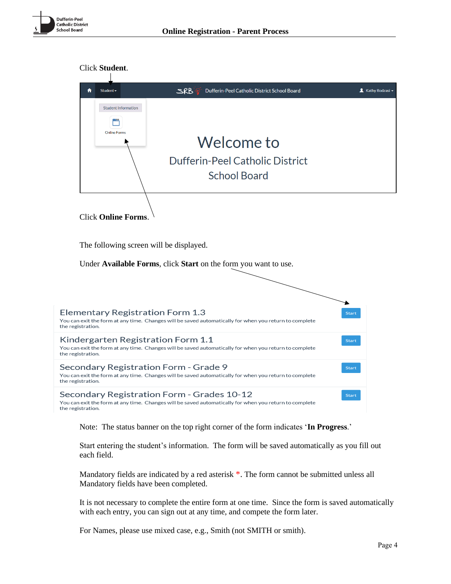



Start entering the student's information. The form will be saved automatically as you fill out each field.

Mandatory fields are indicated by a red asterisk  $*$ . The form cannot be submitted unless all Mandatory fields have been completed.

It is not necessary to complete the entire form at one time. Since the form is saved automatically with each entry, you can sign out at any time, and compete the form later.

For Names, please use mixed case, e.g., Smith (not SMITH or smith).